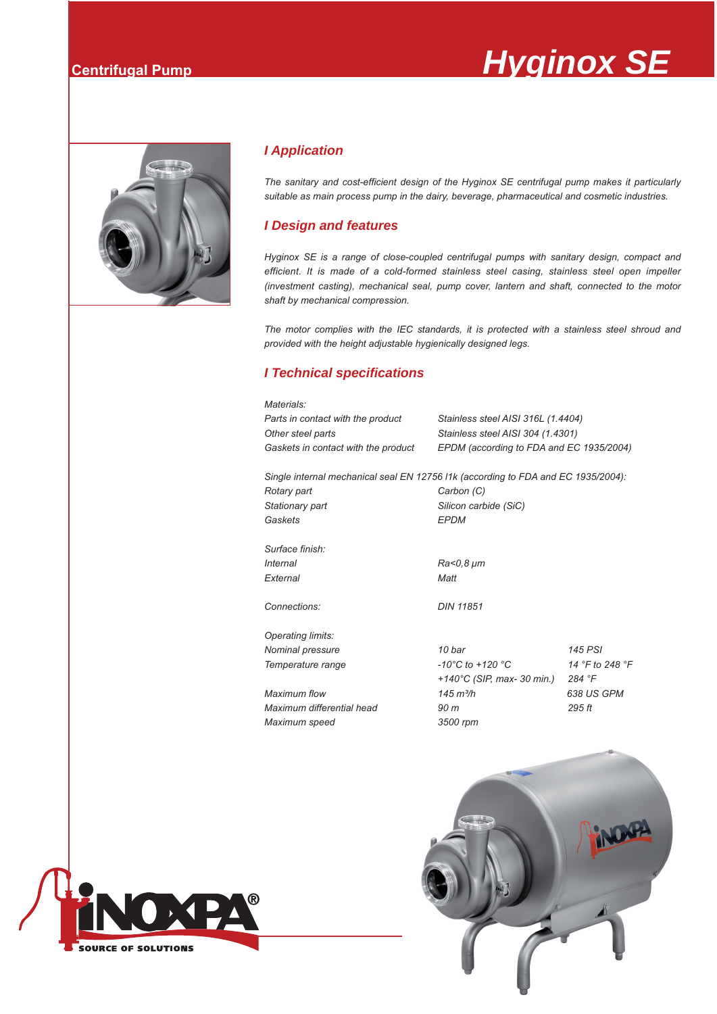# **Centrifugal Pump** *Centrifugal Pump*



### *I Application*

*The sanitary and cost-efficient design of the Hyginox SE centrifugal pump makes it particularly suitable as main process pump in the dairy, beverage, pharmaceutical and cosmetic industries.*

#### *I Design and features*

*Hyginox SE is a range of close-coupled centrifugal pumps with sanitary design, compact and efficient. It is made of a cold-formed stainless steel casing, stainless steel open impeller (investment casting), mechanical seal, pump cover, lantern and shaft, connected to the motor shaft by mechanical compression.*

*The motor complies with the IEC standards, it is protected with a stainless steel shroud and provided with the height adjustable hygienically designed legs.*

### *I Technical specifications*

| Materials:                                                                        |                                          |                 |  |  |  |  |  |  |  |  |  |
|-----------------------------------------------------------------------------------|------------------------------------------|-----------------|--|--|--|--|--|--|--|--|--|
| Parts in contact with the product                                                 | Stainless steel AISI 316L (1.4404)       |                 |  |  |  |  |  |  |  |  |  |
| Other steel parts                                                                 | Stainless steel AISI 304 (1.4301)        |                 |  |  |  |  |  |  |  |  |  |
| Gaskets in contact with the product                                               | EPDM (according to FDA and EC 1935/2004) |                 |  |  |  |  |  |  |  |  |  |
| Single internal mechanical seal EN 12756 l1k (according to FDA and EC 1935/2004): |                                          |                 |  |  |  |  |  |  |  |  |  |
| Rotary part                                                                       | Carbon (C)                               |                 |  |  |  |  |  |  |  |  |  |
| Stationary part                                                                   | Silicon carbide (SiC)                    |                 |  |  |  |  |  |  |  |  |  |
| Gaskets                                                                           | <b>EPDM</b>                              |                 |  |  |  |  |  |  |  |  |  |
| Surface finish:                                                                   |                                          |                 |  |  |  |  |  |  |  |  |  |
| <i>Internal</i>                                                                   | Ra<0,8 $\mu$ m                           |                 |  |  |  |  |  |  |  |  |  |
| External                                                                          | Matt                                     |                 |  |  |  |  |  |  |  |  |  |
| Connections:                                                                      | <b>DIN 11851</b>                         |                 |  |  |  |  |  |  |  |  |  |
| Operating limits:                                                                 |                                          |                 |  |  |  |  |  |  |  |  |  |
| Nominal pressure                                                                  | 10 bar                                   | 145 PSI         |  |  |  |  |  |  |  |  |  |
| Temperature range                                                                 | $-10^{\circ}$ C to $+120^{\circ}$ C      | 14 °F to 248 °F |  |  |  |  |  |  |  |  |  |
|                                                                                   | +140°C (SIP, max- 30 min.)               | 284 °F          |  |  |  |  |  |  |  |  |  |
| Maximum flow                                                                      | $145 \text{ m}^3/h$                      | 638 US GPM      |  |  |  |  |  |  |  |  |  |
| Maximum differential head                                                         | 90 <sub>m</sub>                          | 295 ft          |  |  |  |  |  |  |  |  |  |
| Maximum speed                                                                     | 3500 rpm                                 |                 |  |  |  |  |  |  |  |  |  |
|                                                                                   |                                          | $\sim$          |  |  |  |  |  |  |  |  |  |



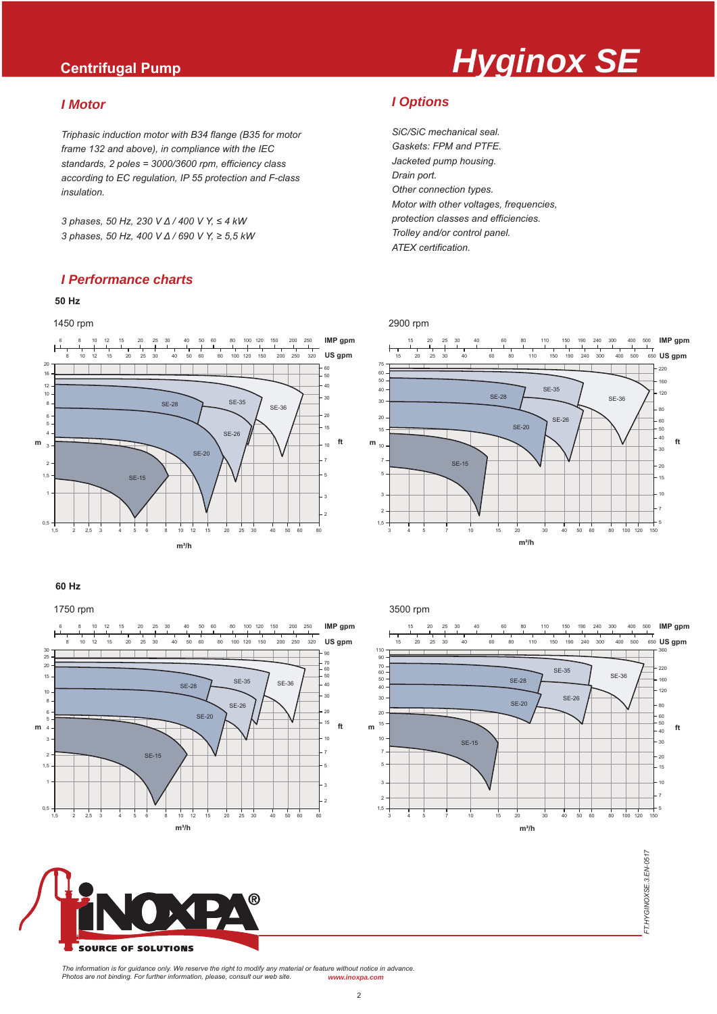# **Centrifugal Pump** *Centrifugal Pump*

#### *I Motor*

*Triphasic induction motor with B34 flange (B35 for motor frame 132 and above), in compliance with the IEC standards, 2 poles = 3000/3600 rpm, efficiency class according to EC regulation, IP 55 protection and F-class insulation.*

*3 phases, 50 Hz, 230 V Δ / 400 V Υ, ≤ 4 kW 3 phases, 50 Hz, 400 V Δ / 690 V Υ, ≥ 5,5 kW*

#### *I Performance charts*

#### **50 Hz**



#### **60 Hz**

1750 rpm



SOURCE OF SOLUTIONS

*I Options*

*SiC/SiC mechanical seal. Gaskets: FPM and PTFE. Jacketed pump housing. Drain port. Other connection types. Motor with other voltages, frequencies, protection classes and efficiencies. Trolley and/or control panel. ATEX certification.*

#### 2900 rpm







FT.HYGINOXSE.3.EN-0517 *FT.HYGINOXSE.3.EN-0517*

*The information is for guidance only. We reserve the right to modify any material or feature without notice in advance. Photos are not binding. For further information, please, consult our web site. www.inoxpa.com*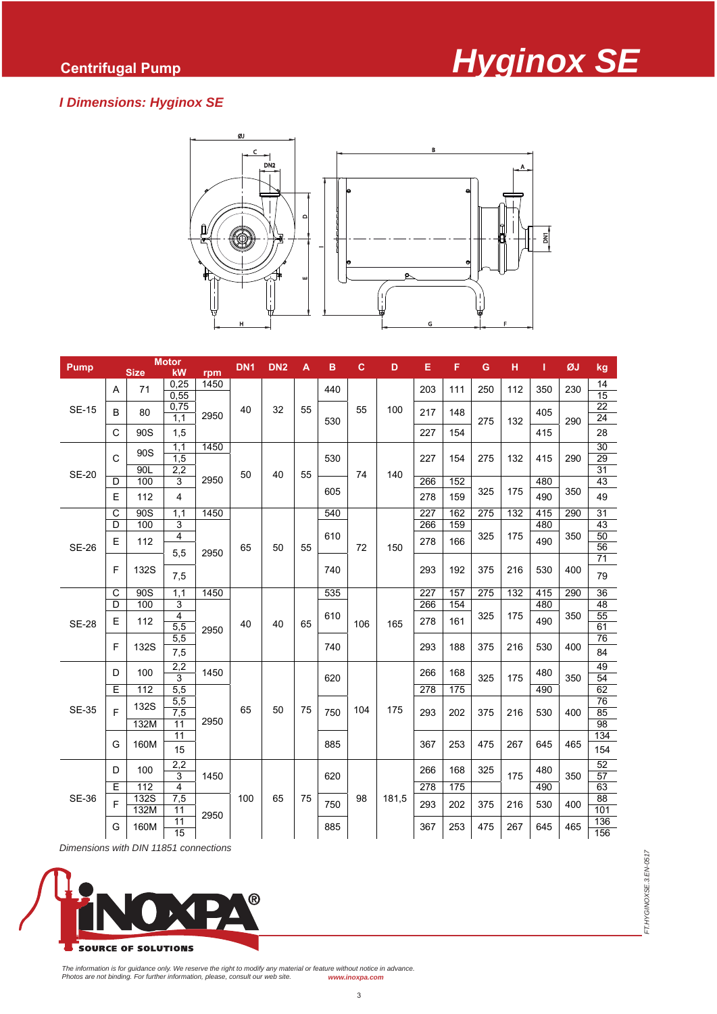### *I Dimensions: Hyginox SE*



| <b>Pump</b>  | <b>Motor</b> |                  |             | DN <sub>1</sub> | DN <sub>2</sub> | A  | в  | c          | D   | Е     | F                | G   | н   | п   | ØJ         | kg  |                       |
|--------------|--------------|------------------|-------------|-----------------|-----------------|----|----|------------|-----|-------|------------------|-----|-----|-----|------------|-----|-----------------------|
|              |              | <b>Size</b>      | kW          | rpm             |                 |    |    |            |     |       |                  |     |     |     |            |     |                       |
| <b>SE-15</b> | A            | 71               | 0,25        | 1450<br>2950    |                 |    |    | 440<br>530 | 55  |       | 203              | 111 | 250 | 112 | 350        | 230 | 14                    |
|              |              |                  | 0,55        |                 |                 |    |    |            |     |       |                  |     |     |     |            |     | 15<br>22              |
|              | B            | 80               | 0,75<br>1,1 |                 | 40              | 32 | 55 |            |     | 100   | 217              | 148 | 275 | 132 | 405        |     | 24                    |
|              | C            | 90 <sub>S</sub>  | 1,5         |                 |                 |    |    |            |     |       | 227              | 154 |     |     | 415        | 290 | 28                    |
|              |              |                  |             |                 |                 |    |    |            |     |       |                  |     |     |     |            |     |                       |
| <b>SE-20</b> | $\mathsf{C}$ | 90S              | 1,1<br>1,5  | 1450            |                 | 40 | 55 | 530        |     |       | 227              | 154 | 275 | 132 | 415        | 290 | 30<br>29              |
|              |              | 90L              | 2,2         |                 | 50              |    |    |            |     |       |                  |     |     |     |            |     | 31                    |
|              | D            | 100              | 3           | 2950            |                 |    |    | 605        | 74  | 140   | 266              | 152 | 325 | 175 | 480        | 350 | 43                    |
|              | Ε            | 112              | 4           |                 |                 |    |    |            |     |       | 278              | 159 |     |     | 490        |     | 49                    |
|              | C            | 90S              | 1.1         | 1450            |                 |    |    | 540        |     |       | 227              | 162 | 275 | 132 | 415        | 290 | 31                    |
| <b>SE-26</b> | D            | 100              | 3           |                 | 65              | 50 | 55 | 610        | 72  |       | 266              | 159 |     |     | 480        |     | 43                    |
|              | Ε            | 112              | 4           |                 |                 |    |    |            |     | 150   | 278              | 166 | 325 | 175 | 490        | 350 | 50                    |
|              |              |                  | 5,5         | 2950            |                 |    |    |            |     |       |                  |     |     |     |            | 400 | $\overline{56}$<br>71 |
|              | F            | 132S             |             |                 |                 |    |    | 740        |     |       | 293              | 192 | 375 | 216 | 530        |     |                       |
|              |              |                  | 7,5         |                 |                 |    |    |            |     |       |                  |     |     |     |            |     | 79                    |
| <b>SE-28</b> | C            | $\overline{90S}$ | 1,1         | 1450            |                 | 40 | 65 | 535        | 106 |       | $\overline{227}$ | 157 | 275 | 132 | 415        | 290 | 36                    |
|              | D            | 100              | 3           |                 |                 |    |    |            |     |       | 266              | 154 |     |     | 480        |     | 48                    |
|              | Ε            | 112              | 4<br>5,5    |                 | 40              |    |    | 610        |     | 165   | 278              | 161 | 325 | 175 | 490        | 350 | 55<br>61              |
|              |              |                  | 5,5         | 2950            |                 |    |    | 740        |     |       |                  |     |     |     | 530        | 400 | 76                    |
|              | F            | 132S             | 7,5         |                 |                 |    |    |            |     |       | 293              | 188 | 375 | 216 |            |     | 84                    |
|              |              |                  | 2,2         |                 |                 |    |    |            |     |       |                  |     |     |     |            |     | 49                    |
|              | D            | 100              | 3           | 1450            |                 |    | 75 | 620<br>750 | 104 |       | 266              | 168 | 325 | 175 | 480        | 350 | 54                    |
|              | E            | 112              | 5,5         |                 |                 |    |    |            |     |       | 278              | 175 |     |     | 490        |     | 62                    |
|              |              | 132S             | 5,5         | 2950            |                 | 50 |    |            |     |       |                  |     |     | 216 | 530        | 400 | 76                    |
| <b>SE-35</b> | F            |                  | 7,5         |                 | 65              |    |    |            |     | 175   | 293              | 202 | 375 |     |            |     | 85                    |
|              |              | 132M             | 11<br>11    |                 |                 |    |    | 885        |     |       | 367              | 253 | 475 | 267 |            | 465 | 98<br>134             |
|              | G            | 160M             | 15          |                 |                 |    |    |            |     |       |                  |     |     |     | 645        |     | 154                   |
| <b>SE-36</b> |              | 100              | 2,2         |                 | 100             | 65 | 75 |            |     |       | 266              |     |     | 175 | 480        |     | 52                    |
|              | D            |                  | 3           | 1450            |                 |    |    | 620        |     | 181,5 |                  | 168 | 325 |     |            | 350 | 57                    |
|              | Ε            | 112              | 4           |                 |                 |    |    |            | 98  |       | 278              | 175 |     | 216 | 490<br>530 |     | 63                    |
|              | F            | <b>132S</b>      | 7,5         |                 |                 |    |    | 750        |     |       | 293              | 202 | 375 |     |            | 400 | 88<br>101             |
|              |              | 132M             | 11<br>11    | 2950            |                 |    |    |            |     |       |                  |     |     |     |            |     | 136                   |
|              | G            | 160M             | 15          |                 |                 |    |    | 885        |     |       | 367              | 253 | 475 | 267 | 645        | 465 | 156                   |
|              |              |                  |             |                 |                 |    |    |            |     |       |                  |     |     |     |            |     |                       |

*Dimensions with DIN 11851 connections*



FT.HYGINOXSE.3.EN-0517 *FT.HYGINOXSE.3.EN-0517*

The information is for guidance only. We reserve the right to modify any material or feature without notice in advance.<br>Photos are not binding. For further information, please, consult our web site. www.inoxpa.com